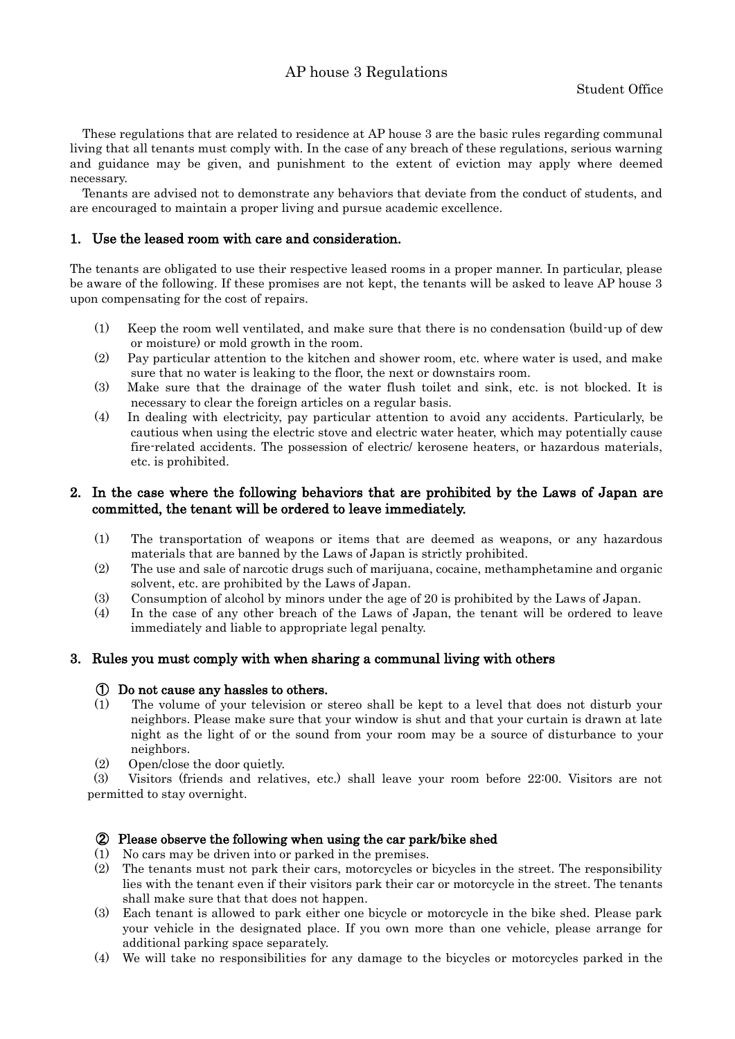# AP house 3 Regulations

These regulations that are related to residence at AP house 3 are the basic rules regarding communal living that all tenants must comply with. In the case of any breach of these regulations, serious warning and guidance may be given, and punishment to the extent of eviction may apply where deemed necessary.

Tenants are advised not to demonstrate any behaviors that deviate from the conduct of students, and are encouraged to maintain a proper living and pursue academic excellence.

### 1. Use the leased room with care and consideration.

The tenants are obligated to use their respective leased rooms in a proper manner. In particular, please be aware of the following. If these promises are not kept, the tenants will be asked to leave AP house 3 upon compensating for the cost of repairs.

- (1) Keep the room well ventilated, and make sure that there is no condensation (build-up of dew or moisture) or mold growth in the room.
- (2) Pay particular attention to the kitchen and shower room, etc. where water is used, and make sure that no water is leaking to the floor, the next or downstairs room.
- (3) Make sure that the drainage of the water flush toilet and sink, etc. is not blocked. It is necessary to clear the foreign articles on a regular basis.
- (4) In dealing with electricity, pay particular attention to avoid any accidents. Particularly, be cautious when using the electric stove and electric water heater, which may potentially cause fire-related accidents. The possession of electric/ kerosene heaters, or hazardous materials, etc. is prohibited.

# 2. In the case where the following behaviors that are prohibited by the Laws of Japan are committed, the tenant will be ordered to leave immediately.

- (1) The transportation of weapons or items that are deemed as weapons, or any hazardous materials that are banned by the Laws of Japan is strictly prohibited.
- (2) The use and sale of narcotic drugs such of marijuana, cocaine, methamphetamine and organic solvent, etc. are prohibited by the Laws of Japan.
- (3) Consumption of alcohol by minors under the age of 20 is prohibited by the Laws of Japan.
- (4) In the case of any other breach of the Laws of Japan, the tenant will be ordered to leave immediately and liable to appropriate legal penalty.

#### 3. Rules you must comply with when sharing a communal living with others

#### ① Do not cause any hassles to others.

- (1) The volume of your television or stereo shall be kept to a level that does not disturb your neighbors. Please make sure that your window is shut and that your curtain is drawn at late night as the light of or the sound from your room may be a source of disturbance to your neighbors.
- (2) Open/close the door quietly.

(3) Visitors (friends and relatives, etc.) shall leave your room before 22:00. Visitors are not permitted to stay overnight.

#### ② Please observe the following when using the car park/bike shed

- (1) No cars may be driven into or parked in the premises.
- (2) The tenants must not park their cars, motorcycles or bicycles in the street. The responsibility lies with the tenant even if their visitors park their car or motorcycle in the street. The tenants shall make sure that that does not happen.
- (3) Each tenant is allowed to park either one bicycle or motorcycle in the bike shed. Please park your vehicle in the designated place. If you own more than one vehicle, please arrange for additional parking space separately.
- (4) We will take no responsibilities for any damage to the bicycles or motorcycles parked in the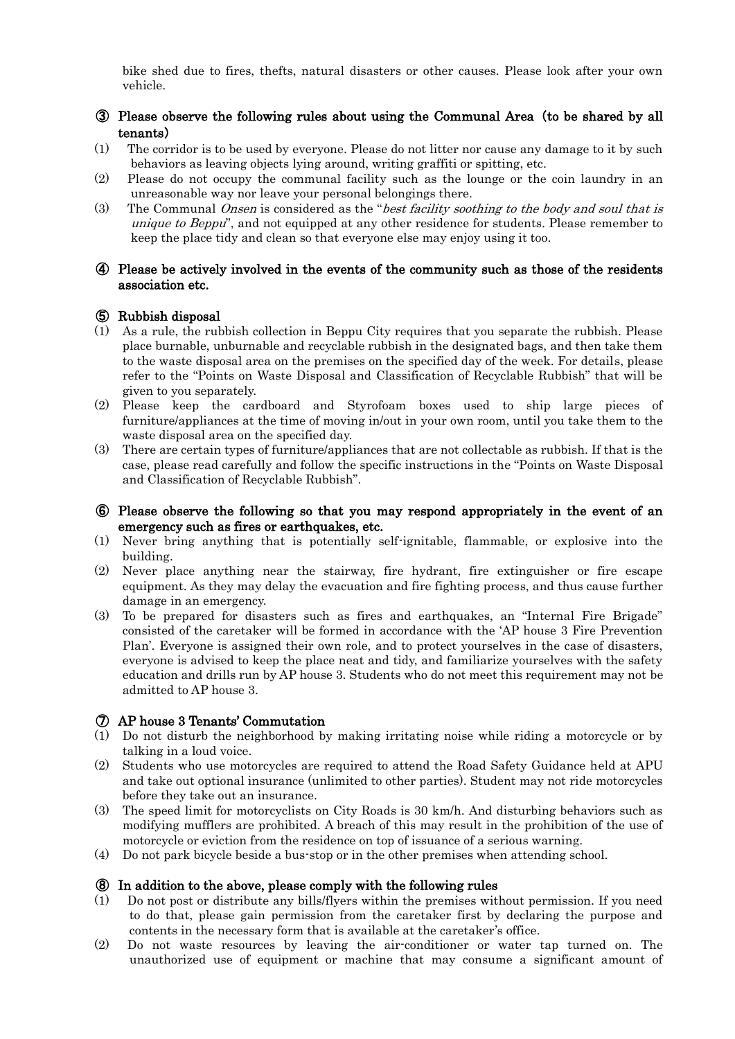bike shed due to fires, thefts, natural disasters or other causes. Please look after your own vehicle.

# ③ Please observe the following rules about using the Communal Area(to be shared by all tenants)

- (1) The corridor is to be used by everyone. Please do not litter nor cause any damage to it by such behaviors as leaving objects lying around, writing graffiti or spitting, etc.
- (2) Please do not occupy the communal facility such as the lounge or the coin laundry in an unreasonable way nor leave your personal belongings there.
- (3) The Communal Onsen is considered as the "best facility soothing to the body and soul that is unique to Beppu", and not equipped at any other residence for students. Please remember to keep the place tidy and clean so that everyone else may enjoy using it too.

### ④ Please be actively involved in the events of the community such as those of the residents association etc.

#### ⑤ Rubbish disposal

- (1) As a rule, the rubbish collection in Beppu City requires that you separate the rubbish. Please place burnable, unburnable and recyclable rubbish in the designated bags, and then take them to the waste disposal area on the premises on the specified day of the week. For details, please refer to the "Points on Waste Disposal and Classification of Recyclable Rubbish" that will be given to you separately.
- (2) Please keep the cardboard and Styrofoam boxes used to ship large pieces of furniture/appliances at the time of moving in/out in your own room, until you take them to the waste disposal area on the specified day.
- (3) There are certain types of furniture/appliances that are not collectable as rubbish. If that is the case, please read carefully and follow the specific instructions in the "Points on Waste Disposal and Classification of Recyclable Rubbish".

#### ⑥ Please observe the following so that you may respond appropriately in the event of an emergency such as fires or earthquakes, etc.

- (1) Never bring anything that is potentially self-ignitable, flammable, or explosive into the building.
- (2) Never place anything near the stairway, fire hydrant, fire extinguisher or fire escape equipment. As they may delay the evacuation and fire fighting process, and thus cause further damage in an emergency.
- (3) To be prepared for disasters such as fires and earthquakes, an "Internal Fire Brigade" consisted of the caretaker will be formed in accordance with the 'AP house 3 Fire Prevention Plan'. Everyone is assigned their own role, and to protect yourselves in the case of disasters, everyone is advised to keep the place neat and tidy, and familiarize yourselves with the safety education and drills run by AP house 3. Students who do not meet this requirement may not be admitted to AP house 3.

#### ⑦ AP house 3 Tenants' Commutation

- (1) Do not disturb the neighborhood by making irritating noise while riding a motorcycle or by talking in a loud voice.
- (2) Students who use motorcycles are required to attend the Road Safety Guidance held at APU and take out optional insurance (unlimited to other parties). Student may not ride motorcycles before they take out an insurance.
- (3) The speed limit for motorcyclists on City Roads is 30 km/h. And disturbing behaviors such as modifying mufflers are prohibited. A breach of this may result in the prohibition of the use of motorcycle or eviction from the residence on top of issuance of a serious warning.
- (4) Do not park bicycle beside a bus-stop or in the other premises when attending school.

#### ⑧ In addition to the above, please comply with the following rules

- (1) Do not post or distribute any bills/flyers within the premises without permission. If you need to do that, please gain permission from the caretaker first by declaring the purpose and contents in the necessary form that is available at the caretaker's office.
- (2) Do not waste resources by leaving the air-conditioner or water tap turned on. The unauthorized use of equipment or machine that may consume a significant amount of